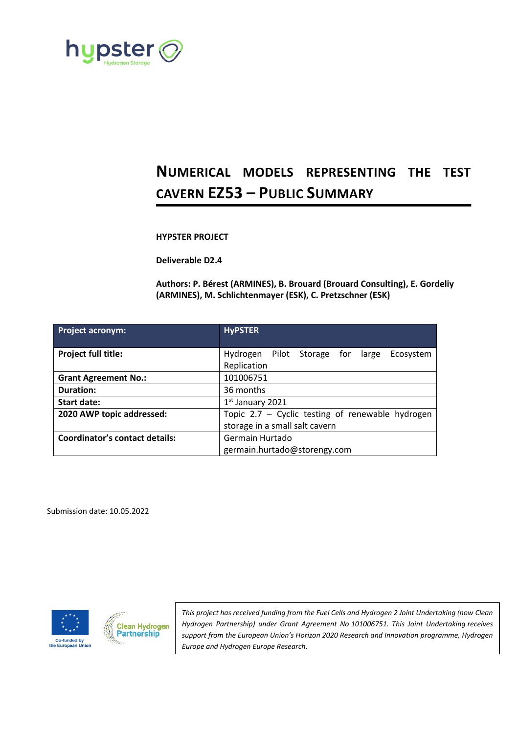

# **NUMERICAL MODELS REPRESENTING THE TEST CAVERN EZ53 – PUBLIC SUMMARY**

### **HYPSTER PROJECT**

**Deliverable D2.4**

**Authors: P. Bérest (ARMINES), B. Brouard (Brouard Consulting), E. Gordeliy (ARMINES), M. Schlichtenmayer (ESK), C. Pretzschner (ESK)**

| <b>Project acronym:</b>               | <b>HyPSTER</b>                                                                     |  |  |  |
|---------------------------------------|------------------------------------------------------------------------------------|--|--|--|
| <b>Project full title:</b>            | Hydrogen Pilot Storage for large<br>Ecosystem<br>Replication                       |  |  |  |
| <b>Grant Agreement No.:</b>           | 101006751                                                                          |  |  |  |
| <b>Duration:</b>                      | 36 months                                                                          |  |  |  |
| <b>Start date:</b>                    | $1st$ January 2021                                                                 |  |  |  |
| 2020 AWP topic addressed:             | Topic 2.7 - Cyclic testing of renewable hydrogen<br>storage in a small salt cavern |  |  |  |
| <b>Coordinator's contact details:</b> | Germain Hurtado<br>germain.hurtado@storengy.com                                    |  |  |  |

Submission date: 10.05.2022





*This project has received funding from the Fuel Cells and Hydrogen 2 Joint Undertaking (now Clean Hydrogen Partnership) under Grant Agreement No 101006751. This Joint Undertaking receives support from the European Union's Horizon 2020 Research and Innovation programme, Hydrogen Europe and Hydrogen Europe Research.*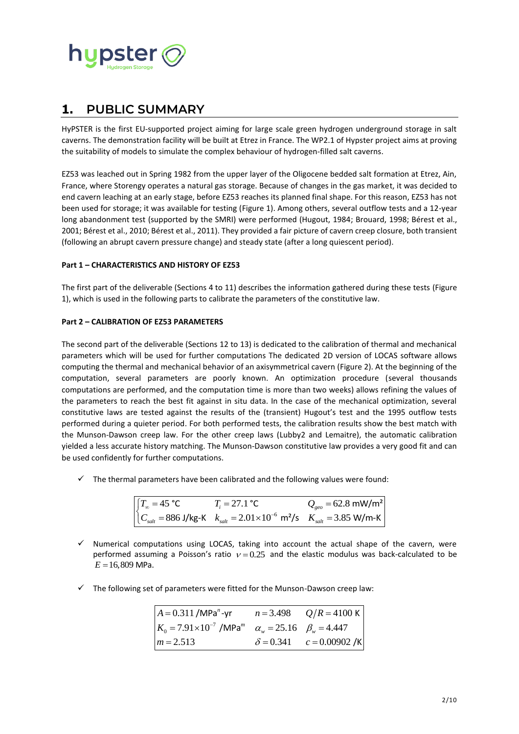

# **1. PUBLIC SUMMARY**

HyPSTER is the first EU-supported project aiming for large scale green hydrogen underground storage in salt caverns. The demonstration facility will be built at Etrez in France. The WP2.1 of Hypster project aims at proving the suitability of models to simulate the complex behaviour of hydrogen-filled salt caverns.

EZ53 was leached out in Spring 1982 from the upper layer of the Oligocene bedded salt formation at Etrez, Ain, France, where Storengy operates a natural gas storage. Because of changes in the gas market, it was decided to end cavern leaching at an early stage, before EZ53 reaches its planned final shape. For this reason, EZ53 has not been used for storage; it was available for testing [\(Figure 1\)](#page-4-0). Among others, several outflow tests and a 12-year long abandonment test (supported by the SMRI) were performed (Hugout, 1984; Brouard, 1998; Bérest et al., 2001; Bérest et al., 2010; Bérest et al., 2011). They provided a fair picture of cavern creep closure, both transient (following an abrupt cavern pressure change) and steady state (after a long quiescent period).

### **Part 1 – CHARACTERISTICS AND HISTORY OF EZ53**

The first part of the deliverable (Sections 4 to 11) describes the information gathered during these tests [\(Figure](#page-4-0)  [1\)](#page-4-0), which is used in the following parts to calibrate the parameters of the constitutive law.

### **Part 2 – CALIBRATION OF EZ53 PARAMETERS**

The second part of the deliverable (Sections 12 to 13) is dedicated to the calibration of thermal and mechanical parameters which will be used for further computations The dedicated 2D version of LOCAS software allows computing the thermal and mechanical behavior of an axisymmetrical cavern [\(Figure 2\)](#page-5-0). At the beginning of the computation, several parameters are poorly known. An optimization procedure (several thousands computations are performed, and the computation time is more than two weeks) allows refining the values of the parameters to reach the best fit against in situ data. In the case of the mechanical optimization, several constitutive laws are tested against the results of the (transient) Hugout's test and the 1995 outflow tests performed during a quieter period. For both performed tests, the calibration results show the best match with the Munson-Dawson creep law. For the other creep laws (Lubby2 and Lemaitre), the automatic calibration yielded a less accurate history matching. The Munson-Dawson constitutive law provides a very good fit and can be used confidently for further computations.

 $\checkmark$  The thermal parameters have been calibrated and the following values were found:

$$
\begin{cases}\nT_{\infty} = 45 \text{ °C} & T_i = 27.1 \text{ °C} & Q_{\text{geo}} = 62.8 \text{ mW/m}^2 \\
C_{\text{salt}} = 886 \text{ J/kg-K} & k_{\text{salt}} = 2.01 \times 10^{-6} \text{ m}^2\text{/s} & K_{\text{salt}} = 3.85 \text{ W/m-K}\n\end{cases}
$$

- $\checkmark$  Numerical computations using LOCAS, taking into account the actual shape of the cavern, were performed assuming a Poisson's ratio  $v = 0.25$  and the elastic modulus was back-calculated to be  $E = 16,809$  MPa.
- $\checkmark$  The following set of parameters were fitted for the Munson-Dawson creep law:

| $A = 0.311$ /MPa <sup>n</sup> -yr                                                  | $n = 3.498$ $Q/R = 4100 \text{ K}$ |  |
|------------------------------------------------------------------------------------|------------------------------------|--|
| $K_0 = 7.91 \times 10^{-7}$ /MPa <sup>m</sup> $\alpha_w = 25.16$ $\beta_w = 4.447$ |                                    |  |
| $m = 2.513$                                                                        | $\delta = 0.341$ $c = 0.00902 / K$ |  |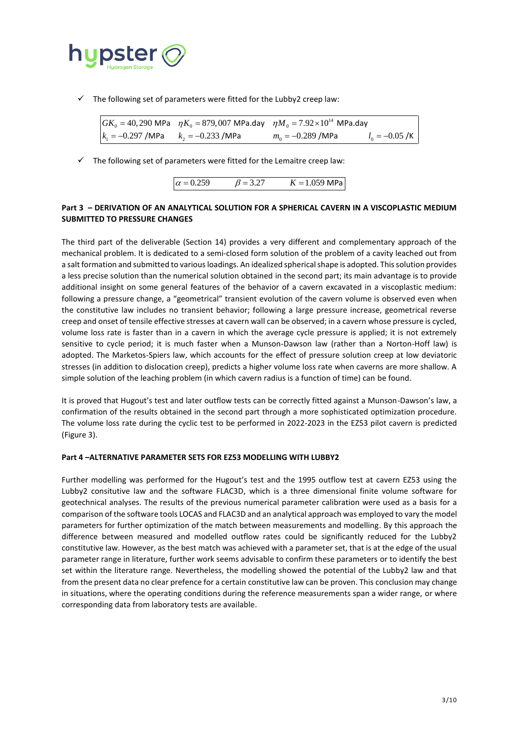

| $\checkmark$ The following set of parameters were fitted for the Lubby2 creep law: |  |                                                                                                                          |                                           |  |
|------------------------------------------------------------------------------------|--|--------------------------------------------------------------------------------------------------------------------------|-------------------------------------------|--|
|                                                                                    |  | $\int GK_0 = 40,290 \text{ MPa}$ $\eta K_0 = 879,007 \text{ MPa}.$ day $\eta M_0 = 7.92 \times 10^{14} \text{ MPa}.$ day |                                           |  |
| $k_1 = -0.297$ /MPa $k_2 = -0.233$ /MPa                                            |  | $m_{\rm o} = -0.289$ /MPa                                                                                                | $l_0 = -0.05$ /K $\overline{\phantom{0}}$ |  |
|                                                                                    |  |                                                                                                                          |                                           |  |

 $\checkmark$  The following set of parameters were fitted for the Lemaitre creep law:

| $\alpha = 0.259$ | $\beta = 3.27$ | $K = 1.059$ MPa |
|------------------|----------------|-----------------|

## **Part 3 – DERIVATION OF AN ANALYTICAL SOLUTION FOR A SPHERICAL CAVERN IN A VISCOPLASTIC MEDIUM SUBMITTED TO PRESSURE CHANGES**

The third part of the deliverable (Section 14) provides a very different and complementary approach of the mechanical problem. It is dedicated to a semi-closed form solution of the problem of a cavity leached out from a salt formation and submitted to various loadings. An idealized spherical shape is adopted. This solution provides a less precise solution than the numerical solution obtained in the second part; its main advantage is to provide additional insight on some general features of the behavior of a cavern excavated in a viscoplastic medium: following a pressure change, a "geometrical" transient evolution of the cavern volume is observed even when the constitutive law includes no transient behavior; following a large pressure increase, geometrical reverse creep and onset of tensile effective stresses at cavern wall can be observed; in a cavern whose pressure is cycled, volume loss rate is faster than in a cavern in which the average cycle pressure is applied; it is not extremely sensitive to cycle period; it is much faster when a Munson-Dawson law (rather than a Norton-Hoff law) is adopted. The Marketos-Spiers law, which accounts for the effect of pressure solution creep at low deviatoric stresses (in addition to dislocation creep), predicts a higher volume loss rate when caverns are more shallow. A simple solution of the leaching problem (in which cavern radius is a function of time) can be found.

It is proved that Hugout's test and later outflow tests can be correctly fitted against a Munson-Dawson's law, a confirmation of the results obtained in the second part through a more sophisticated optimization procedure. The volume loss rate during the cyclic test to be performed in 2022-2023 in the EZ53 pilot cavern is predicted [\(Figure 3\)](#page-5-1).

#### **Part 4 –ALTERNATIVE PARAMETER SETS FOR EZ53 MODELLING WITH LUBBY2**

Further modelling was performed for the Hugout's test and the 1995 outflow test at cavern EZ53 using the Lubby2 consitutive law and the software FLAC3D, which is a three dimensional finite volume software for geotechnical analyses. The results of the previous numerical parameter calibration were used as a basis for a comparison of the software tools LOCAS and FLAC3D and an analytical approach was employed to vary the model parameters for further optimization of the match between measurements and modelling. By this approach the difference between measured and modelled outflow rates could be significantly reduced for the Lubby2 constitutive law. However, as the best match was achieved with a parameter set, that is at the edge of the usual parameter range in literature, further work seems advisable to confirm these parameters or to identify the best set within the literature range. Nevertheless, the modelling showed the potential of the Lubby2 law and that from the present data no clear prefence for a certain constitutive law can be proven. This conclusion may change in situations, where the operating conditions during the reference measurements span a wider range, or where corresponding data from laboratory tests are available.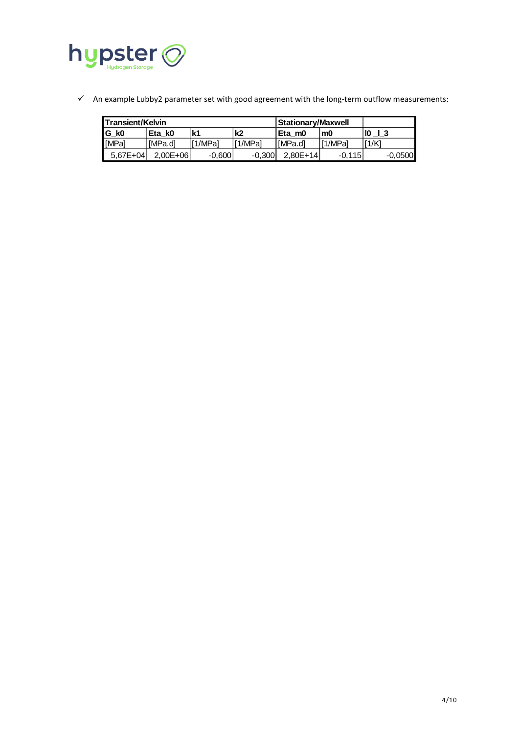

✓ An example Lubby2 parameter set with good agreement with the long-term outflow measurements:

| l Transient/Kelvin |                    |          | <b>Stationary/Maxwell</b> |            |          |           |
|--------------------|--------------------|----------|---------------------------|------------|----------|-----------|
| IG kO              | Eta k <sub>0</sub> | k1       | k2                        | lEtam0     | m0       | l IO      |
| l MPal             | [MPa.d]            | [1/MPa]  | ' <sup>[1/MPa]</sup>      | IMPa.dl    | [1/MPal  | 11/K      |
| $5.67E + 04$       | $2.00E + 06$       | $-0.600$ | $-0.300$                  | $2.80E+14$ | $-0.115$ | $-0.0500$ |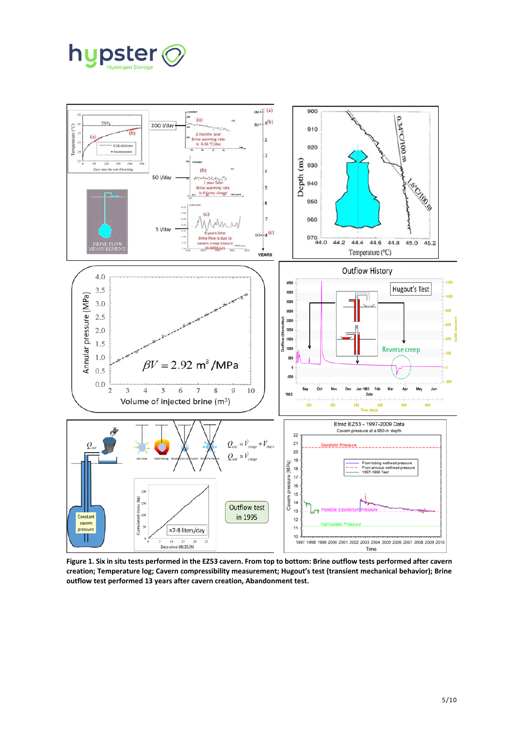



<span id="page-4-0"></span>**Figure 1. Six in situ tests performed in the EZ53 cavern. From top to bottom: Brine outflow tests performed after cavern creation; Temperature log; Cavern compressibility measurement; Hugout's test (transient mechanical behavior); Brine outflow test performed 13 years after cavern creation, Abandonment test.**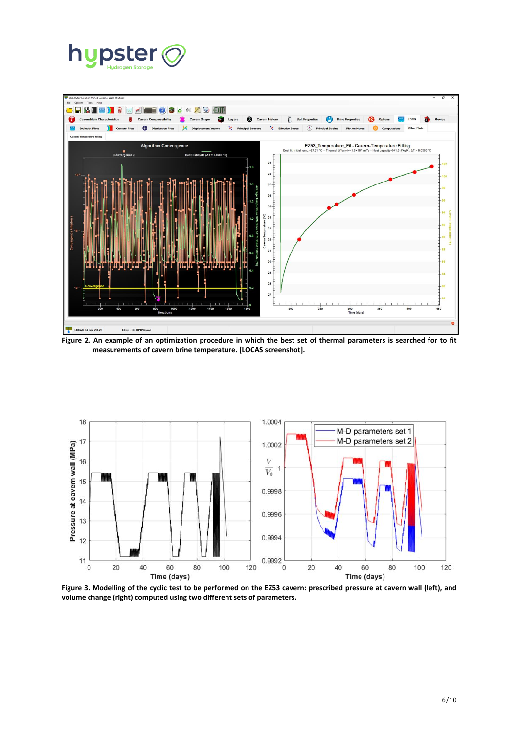



<span id="page-5-0"></span>**Figure 2. An example of an optimization procedure in which the best set of thermal parameters is searched for to fit measurements of cavern brine temperature. [LOCAS screenshot].**



<span id="page-5-1"></span>**Figure 3. Modelling of the cyclic test to be performed on the EZ53 cavern: prescribed pressure at cavern wall (left), and volume change (right) computed using two different sets of parameters.**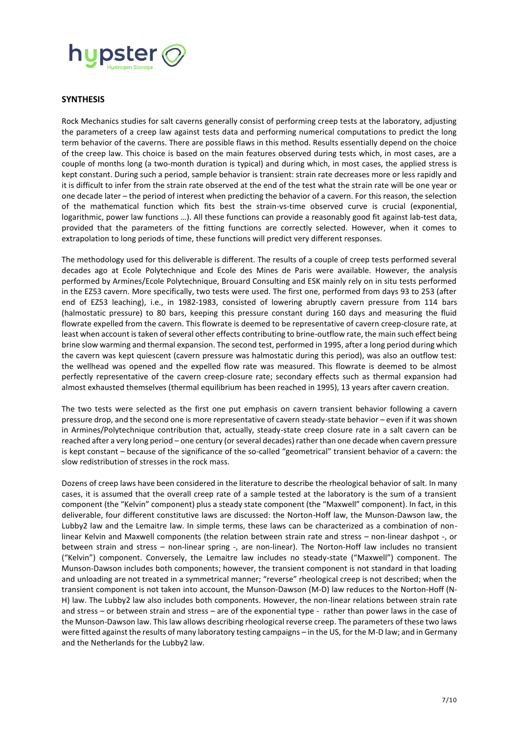

#### **SYNTHESIS**

Rock Mechanics studies for salt caverns generally consist of performing creep tests at the laboratory, adjusting the parameters of a creep law against tests data and performing numerical computations to predict the long term behavior of the caverns. There are possible flaws in this method. Results essentially depend on the choice of the creep law. This choice is based on the main features observed during tests which, in most cases, are a couple of months long (a two-month duration is typical) and during which, in most cases, the applied stress is kept constant. During such a period, sample behavior is transient: strain rate decreases more or less rapidly and it is difficult to infer from the strain rate observed at the end of the test what the strain rate will be one year or one decade later – the period of interest when predicting the behavior of a cavern. For this reason, the selection of the mathematical function which fits best the strain-vs-time observed curve is crucial (exponential, logarithmic, power law functions …). All these functions can provide a reasonably good fit against lab-test data, provided that the parameters of the fitting functions are correctly selected. However, when it comes to extrapolation to long periods of time, these functions will predict very different responses.

The methodology used for this deliverable is different. The results of a couple of creep tests performed several decades ago at Ecole Polytechnique and Ecole des Mines de Paris were available. However, the analysis performed by Armines/Ecole Polytechnique, Brouard Consulting and ESK mainly rely on in situ tests performed in the EZ53 cavern. More specifically, two tests were used. The first one, performed from days 93 to 253 (after end of EZ53 leaching), i.e., in 1982-1983, consisted of lowering abruptly cavern pressure from 114 bars (halmostatic pressure) to 80 bars, keeping this pressure constant during 160 days and measuring the fluid flowrate expelled from the cavern. This flowrate is deemed to be representative of cavern creep-closure rate, at least when account is taken of several other effects contributing to brine-outflow rate, the main such effect being brine slow warming and thermal expansion. The second test, performed in 1995, after a long period during which the cavern was kept quiescent (cavern pressure was halmostatic during this period), was also an outflow test: the wellhead was opened and the expelled flow rate was measured. This flowrate is deemed to be almost perfectly representative of the cavern creep-closure rate; secondary effects such as thermal expansion had almost exhausted themselves (thermal equilibrium has been reached in 1995), 13 years after cavern creation.

The two tests were selected as the first one put emphasis on cavern transient behavior following a cavern pressure drop, and the second one is more representative of cavern steady-state behavior – even if it was shown in Armines/Polytechnique contribution that, actually, steady-state creep closure rate in a salt cavern can be reached after a very long period – one century (or several decades) rather than one decade when cavern pressure is kept constant – because of the significance of the so-called "geometrical" transient behavior of a cavern: the slow redistribution of stresses in the rock mass.

Dozens of creep laws have been considered in the literature to describe the rheological behavior of salt. In many cases, it is assumed that the overall creep rate of a sample tested at the laboratory is the sum of a transient component (the "Kelvin" component) plus a steady state component (the "Maxwell" component). In fact, in this deliverable, four different constitutive laws are discussed: the Norton-Hoff law, the Munson-Dawson law, the Lubby2 law and the Lemaitre law. In simple terms, these laws can be characterized as a combination of nonlinear Kelvin and Maxwell components (the relation between strain rate and stress – non-linear dashpot -, or between strain and stress – non-linear spring -, are non-linear). The Norton-Hoff law includes no transient ("Kelvin") component. Conversely, the Lemaitre law includes no steady-state ("Maxwell") component. The Munson-Dawson includes both components; however, the transient component is not standard in that loading and unloading are not treated in a symmetrical manner; "reverse" rheological creep is not described; when the transient component is not taken into account, the Munson-Dawson (M-D) law reduces to the Norton-Hoff (N-H) law. The Lubby2 law also includes both components. However, the non-linear relations between strain rate and stress – or between strain and stress – are of the exponential type - rather than power laws in the case of the Munson-Dawson law. This law allows describing rheological reverse creep. The parameters of these two laws were fitted against the results of many laboratory testing campaigns – in the US, for the M-D law; and in Germany and the Netherlands for the Lubby2 law.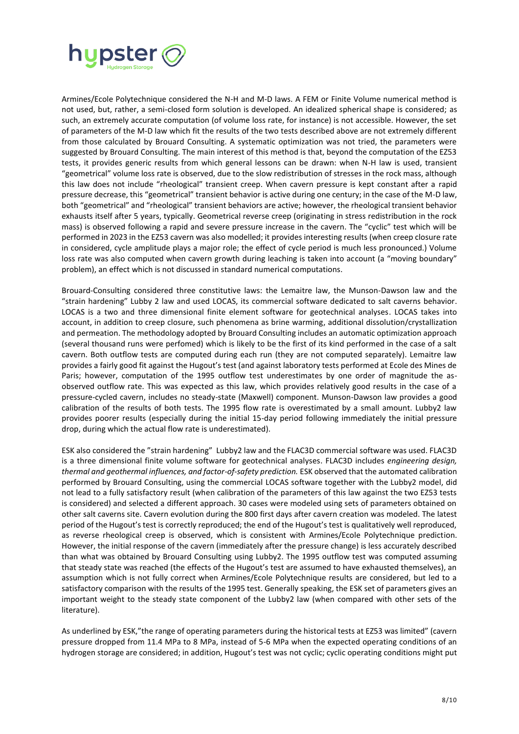

Armines/Ecole Polytechnique considered the N-H and M-D laws. A FEM or Finite Volume numerical method is not used, but, rather, a semi-closed form solution is developed. An idealized spherical shape is considered; as such, an extremely accurate computation (of volume loss rate, for instance) is not accessible. However, the set of parameters of the M-D law which fit the results of the two tests described above are not extremely different from those calculated by Brouard Consulting. A systematic optimization was not tried, the parameters were suggested by Brouard Consulting. The main interest of this method is that, beyond the computation of the EZ53 tests, it provides generic results from which general lessons can be drawn: when N-H law is used, transient "geometrical" volume loss rate is observed, due to the slow redistribution of stresses in the rock mass, although this law does not include "rheological" transient creep. When cavern pressure is kept constant after a rapid pressure decrease, this "geometrical" transient behavior is active during one century; in the case of the M-D law, both "geometrical" and "rheological" transient behaviors are active; however, the rheological transient behavior exhausts itself after 5 years, typically. Geometrical reverse creep (originating in stress redistribution in the rock mass) is observed following a rapid and severe pressure increase in the cavern. The "cyclic" test which will be performed in 2023 in the EZ53 cavern was also modelled; it provides interesting results (when creep closure rate in considered, cycle amplitude plays a major role; the effect of cycle period is much less pronounced.) Volume loss rate was also computed when cavern growth during leaching is taken into account (a "moving boundary" problem), an effect which is not discussed in standard numerical computations.

Brouard-Consulting considered three constitutive laws: the Lemaitre law, the Munson-Dawson law and the "strain hardening" Lubby 2 law and used LOCAS, its commercial software dedicated to salt caverns behavior. LOCAS is a two and three dimensional finite element software for geotechnical analyses. LOCAS takes into account, in addition to creep closure, such phenomena as brine warming, additional dissolution/crystallization and permeation. The methodology adopted by Brouard Consulting includes an automatic optimization approach (several thousand runs were perfomed) which is likely to be the first of its kind performed in the case of a salt cavern. Both outflow tests are computed during each run (they are not computed separately). Lemaitre law provides a fairly good fit against the Hugout's test (and against laboratory tests performed at Ecole des Mines de Paris; however, computation of the 1995 outflow test underestimates by one order of magnitude the asobserved outflow rate. This was expected as this law, which provides relatively good results in the case of a pressure-cycled cavern, includes no steady-state (Maxwell) component. Munson-Dawson law provides a good calibration of the results of both tests. The 1995 flow rate is overestimated by a small amount. Lubby2 law provides poorer results (especially during the initial 15-day period following immediately the initial pressure drop, during which the actual flow rate is underestimated).

ESK also considered the "strain hardening" Lubby2 law and the FLAC3D commercial software was used. FLAC3D is a three dimensional finite volume software for geotechnical analyses. FLAC3D includes *engineering design, thermal and geothermal influences, and factor-of-safety prediction.* ESK observed that the automated calibration performed by Brouard Consulting, using the commercial LOCAS software together with the Lubby2 model, did not lead to a fully satisfactory result (when calibration of the parameters of this law against the two EZ53 tests is considered) and selected a different approach. 30 cases were modeled using sets of parameters obtained on other salt caverns site. Cavern evolution during the 800 first days after cavern creation was modeled. The latest period of the Hugout's test is correctly reproduced; the end of the Hugout's test is qualitatively well reproduced, as reverse rheological creep is observed, which is consistent with Armines/Ecole Polytechnique prediction. However, the initial response of the cavern (immediately after the pressure change) is less accurately described than what was obtained by Brouard Consulting using Lubby2. The 1995 outflow test was computed assuming that steady state was reached (the effects of the Hugout's test are assumed to have exhausted themselves), an assumption which is not fully correct when Armines/Ecole Polytechnique results are considered, but led to a satisfactory comparison with the results of the 1995 test. Generally speaking, the ESK set of parameters gives an important weight to the steady state component of the Lubby2 law (when compared with other sets of the literature).

As underlined by ESK,"the range of operating parameters during the historical tests at EZ53 was limited" (cavern pressure dropped from 11.4 MPa to 8 MPa, instead of 5-6 MPa when the expected operating conditions of an hydrogen storage are considered; in addition, Hugout's test was not cyclic; cyclic operating conditions might put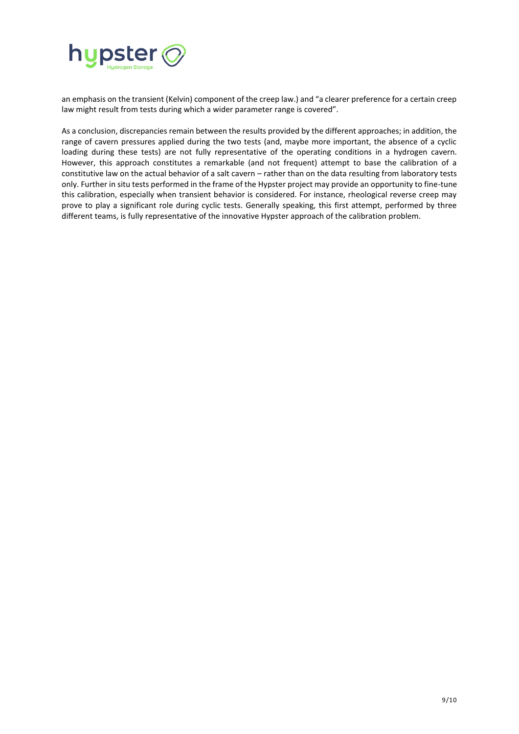

an emphasis on the transient (Kelvin) component of the creep law.) and "a clearer preference for a certain creep law might result from tests during which a wider parameter range is covered".

As a conclusion, discrepancies remain between the results provided by the different approaches; in addition, the range of cavern pressures applied during the two tests (and, maybe more important, the absence of a cyclic loading during these tests) are not fully representative of the operating conditions in a hydrogen cavern. However, this approach constitutes a remarkable (and not frequent) attempt to base the calibration of a constitutive law on the actual behavior of a salt cavern – rather than on the data resulting from laboratory tests only. Further in situ tests performed in the frame of the Hypster project may provide an opportunity to fine-tune this calibration, especially when transient behavior is considered. For instance, rheological reverse creep may prove to play a significant role during cyclic tests. Generally speaking, this first attempt, performed by three different teams, is fully representative of the innovative Hypster approach of the calibration problem.